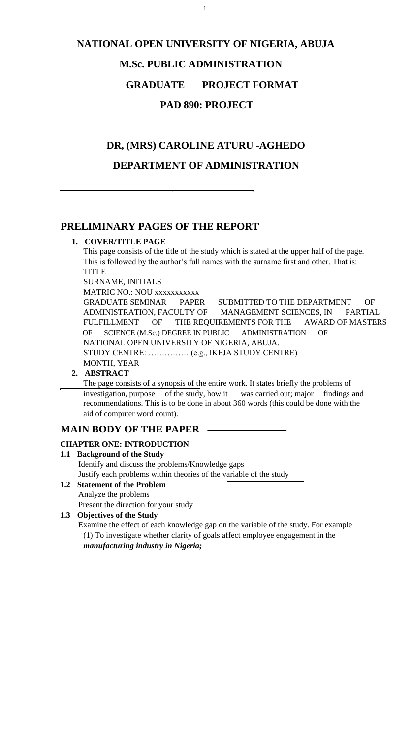1

# **NATIONAL OPEN UNIVERSITY OF NIGERIA, ABUJA M.Sc. PUBLIC ADMINISTRATION GRADUATE PROJECT FORMAT**

# **PAD 890: PROJECT**

# **DR, (MRS) CAROLINE ATURU -AGHEDO**

# **DEPARTMENT OF ADMINISTRATION**

# **PRELIMINARY PAGES OF THE REPORT**

#### **1. COVER/TITLE PAGE**

This page consists of the title of the study which is stated at the upper half of the page. This is followed by the author's full names with the surname first and other. That is: TITLE

SURNAME, INITIALS

MATRIC NO.: NOU xxxxxxxxxxx

GRADUATE SEMINAR PAPER SUBMITTED TO THE DEPARTMENT OF ADMINISTRATION, FACULTY OF MANAGEMENT SCIENCES, IN PARTIAL FULFILLMENT OF THE REQUIREMENTS FOR THE AWARD OF MASTERS OF SCIENCE (M.Sc.) DEGREE IN PUBLIC ADMINISTRATION OF NATIONAL OPEN UNIVERSITY OF NIGERIA, ABUJA. STUDY CENTRE: …………… (e.g., IKEJA STUDY CENTRE) MONTH, YEAR

### **2. ABSTRACT**

The page consists of a synopsis of the entire work. It states briefly the problems of investigation, purpose of the study, how it was carried out; major findings and recommendations. This is to be done in about 360 words (this could be done with the aid of computer word count).

# **MAIN BODY OF THE PAPER**

### **CHAPTER ONE: INTRODUCTION**

**1.1 Background of the Study** 

 Identify and discuss the problems/Knowledge gaps Justify each problems within theories of the variable of the study

**1.2 Statement of the Problem** 

 Analyze the problems Present the direction for your study

# **1.3 Objectives of the Study**

 Examine the effect of each knowledge gap on the variable of the study. For example (1) To investigate whether clarity of goals affect employee engagement in the *manufacturing industry in Nigeria;*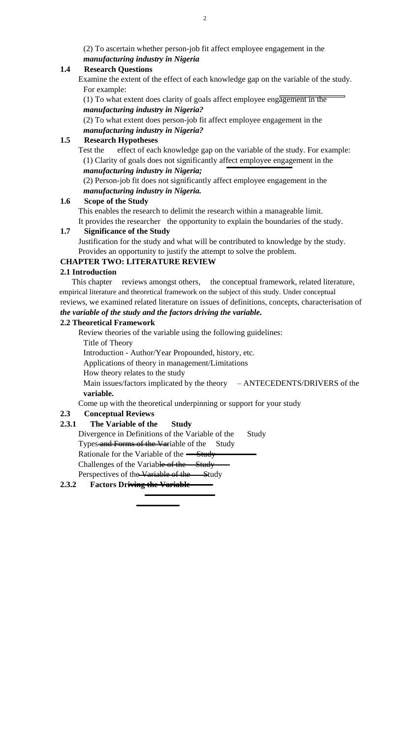(2) To ascertain whether person-job fit affect employee engagement in the *manufacturing industry in Nigeria* 

#### **1.4 Research Questions**

 Examine the extent of the effect of each knowledge gap on the variable of the study. For example:

(1) To what extent does clarity of goals affect employee engagement in the *manufacturing industry in Nigeria?* 

Test the effect of each knowledge gap on the variable of the study. For example: (1) Clarity of goals does not significantly affect employee engagement in the *manufacturing industry in Nigeria;* 

(2) To what extent does person-job fit affect employee engagement in the *manufacturing industry in Nigeria?* 

#### **1.5 Research Hypotheses**

(2) Person-job fit does not significantly affect employee engagement in the *manufacturing industry in Nigeria.* 

#### **1.6 Scope of the Study**

 This enables the research to delimit the research within a manageable limit. It provides the researcher the opportunity to explain the boundaries of the study.

Main issues/factors implicated by the theory – ANTECEDENTS/DRIVERS of the **variable.** 

#### **1.7 Significance of the Study**

 Justification for the study and what will be contributed to knowledge by the study. Provides an opportunity to justify the attempt to solve the problem.

#### **CHAPTER TWO: LITERATURE REVIEW**

#### **2.1 Introduction**

This chapter reviews amongst others, the conceptual framework, related literature, empirical literature and theoretical framework on the subject of this study. Under conceptual reviews, we examined related literature on issues of definitions, concepts, characterisation of *the variable of the study and the factors driving the variable.* 

#### **2.2 Theoretical Framework**

Review theories of the variable using the following guidelines:

Title of Theory

Introduction - Author/Year Propounded, history, etc.

Applications of theory in management/Limitations

How theory relates to the study

Come up with the theoretical underpinning or support for your study

#### **2.3 Conceptual Reviews**

#### **2.3.1 The Variable of the Study**

Divergence in Definitions of the Variable of the Study

Types and Forms of the Variable of the Study

Rationale for the Variable of the <del>Study</del>

Challenges of the Variable of the Study

Perspectives of the Variable of the Study

#### **2.3.2 Factors Driving the Variable**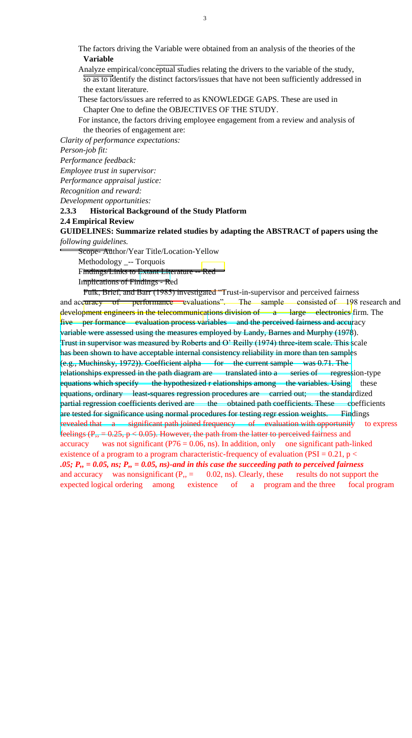The factors driving the Variable were obtained from an analysis of the theories of the **Variable** 

 Analyze empirical/conceptual studies relating the drivers to the variable of the study, so as to identify the distinct factors/issues that have not been sufficiently addressed in the extant literature.

 These factors/issues are referred to as KNOWLEDGE GAPS. These are used in Chapter One to define the OBJECTIVES OF THE STUDY.

 For instance, the factors driving employee engagement from a review and analysis of the theories of engagement are:

*Clarity of performance expectations:* 

*Person-job fit:* 

*Performance feedback:* 

*Employee trust in supervisor:* 

*Performance appraisal justice:* 

*Recognition and reward:* 

*Development opportunities:* 

**2.3.3 Historical Background of the Study Platform** 

#### **2.4 Empirical Review**

**GUIDELINES: Summarize related studies by adapting the ABSTRACT of papers using the**  *following guidelines.* 

Scope-Author/Year Title/Location-Yellow

Methodology \_-- Torquois

Findings/Links to Extant Literature -- Red

Implications of Findings - Red

Fulk, Brief, and Barr (1985) investigated "Trust-in-supervisor and perceived fairness and accuracy of performance evaluations". The sample consisted of 198 research and development engineers in the telecommunications division of a large electronics firm. The five per formance evaluation process variables and the perceived fairness and accuracy variable were assessed using the measures employed by Landy, Barnes and Murphy (1978). Trust in supervisor was measured by Roberts and O' Reilly (1974) three-item scale. This scale has been shown to have acceptable internal consistency reliability in more than ten samples  $(e.g., Muchinsky, 1972)$ . Coefficient alpha for the current sample was 0.71. The relationships expressed in the path diagram are translated into a series of regression-type equations which specify the hypothesized r elationships among the variables. Using these equations, ordinary least-squares regression procedures are carried out; the standardized partial regression coefficients derived are the obtained path coefficients. These coefficients are tested for significance using normal procedures for testing regr ession weights. Findings revealed that a significant path joined frequency of evaluation with opportunity to express feelings ( $P_{12} = 0.25$ ,  $p < 0.05$ ). However, the path from the latter to perceived fairness and accuracy was not significant ( $P76 = 0.06$ , ns). In addition, only one significant path-linked existence of a program to a program characteristic-frequency of evaluation (PSI =  $0.21$ , p < *.05; P,, = 0.05, ns; P,, = 0.05, ns)-and in this case the succeeding path to perceived fairness*  and accuracy was nonsignificant  $(P_{1}) = 0.02$ , ns). Clearly, these results do not support the expected logical ordering among existence of a program and the three focal program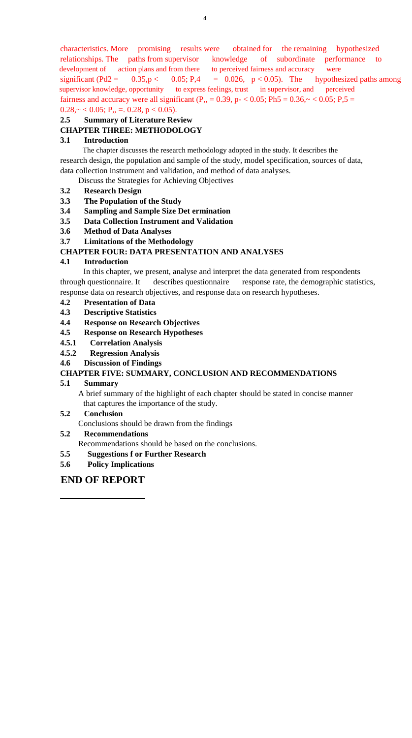characteristics. More promising results were obtained for the remaining hypothesized relationships. The paths from supervisor knowledge of subordinate performance to development of action plans and from there to perceived fairness and accuracy were significant (Pd2 =  $0.35$ , p <  $0.05$ ; P,4 = 0.026, p < 0.05). The hypothesized paths among supervisor knowledge, opportunity to express feelings, trust in supervisor, and perceived fairness and accuracy were all significant (P<sub>1</sub>, = 0.39, p- < 0.05; Ph5 = 0.36, $\sim$  < 0.05; P<sub>1</sub>, 5 =  $0.28 \sim 0.05$ ; P<sub>1</sub>, = 0.28, p < 0.05).

# **2.5 Summary of Literature Review**

## **CHAPTER THREE: METHODOLOGY**

#### **3.1 Introduction**

The chapter discusses the research methodology adopted in the study. It describes the research design, the population and sample of the study, model specification, sources of data, data collection instrument and validation, and method of data analyses.

Discuss the Strategies for Achieving Objectives

#### **3.2 Research Design**

- **3.3 The Population of the Study**
- **3.4 Sampling and Sample Size Det ermination**
- **3.5 Data Collection Instrument and Validation**
- **3.6 Method of Data Analyses**
- **3.7 Limitations of the Methodology**

#### **CHAPTER FOUR: DATA PRESENTATION AND ANALYSES**

#### **4.1 Introduction**

In this chapter, we present, analyse and interpret the data generated from respondents through questionnaire. It describes questionnaire response rate, the demographic statistics, response data on research objectives, and response data on research hypotheses.

#### **4.2 Presentation of Data**

- **4.3 Descriptive Statistics**
- **4.4 Response on Research Objectives**
- **4.5 Response on Research Hypotheses**
- **4.5.1 Correlation Analysis**
- **4.5.2 Regression Analysis**
- **4.6 Discussion of Findings**

#### **CHAPTER FIVE: SUMMARY, CONCLUSION AND RECOMMENDATIONS**

#### **5.1 Summary**

 A brief summary of the highlight of each chapter should be stated in concise manner that captures the importance of the study.

#### **5.2 Conclusion**

Conclusions should be drawn from the findings

#### **5.2 Recommendations**

Recommendations should be based on the conclusions.

- **5.5 Suggestions f or Further Research**
- **5.6 Policy Implications**

### **END OF REPORT**